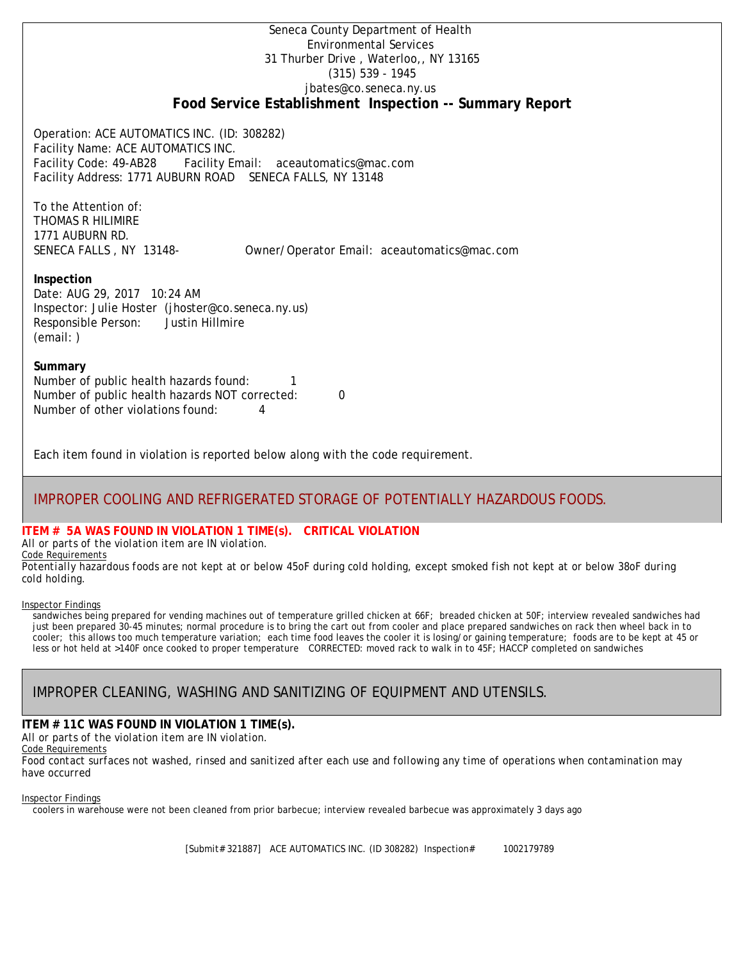Seneca County Department of Health Environmental Services 31 Thurber Drive , Waterloo,, NY 13165 (315) 539 - 1945 [jbates@co.seneca.ny.us](mailto:jbates@co.seneca.ny.us) **Food Service Establishment Inspection -- Summary Report**

Operation: ACE AUTOMATICS INC. (ID: 308282) Facility Name: ACE AUTOMATICS INC. Facility Code: 49-AB28 Facility Email: [aceautomatics@mac.com](mailto:aceautomatics@mac.com) Facility Address: 1771 AUBURN ROAD SENECA FALLS, NY 13148

To the Attention of: THOMAS R HILIMIRE 1771 AUBURN RD.

SENECA FALLS , NY 13148- [Owner/Operator Email: aceautomatics@mac.com](mailto:aceautomatics@mac.com)

### **Inspection**

Date: AUG 29, 2017 10:24 AM Inspector: Julie Hoster (jhoster@co.seneca.ny.us) Responsible Person: Justin Hillmire (email: )

#### **Summary**

Number of public health hazards found: 1 Number of public health hazards NOT corrected: 0 Number of other violations found: 4

Each item found in violation is reported below along with the code requirement.

# IMPROPER COOLING AND REFRIGERATED STORAGE OF POTENTIALLY HAZARDOUS FOODS.

#### **ITEM # 5A WAS FOUND IN VIOLATION 1 TIME(s). CRITICAL VIOLATION**

*All or parts of the violation item are IN violation.* Code Requirements

*Potentially hazardous foods are not kept at or below 45oF during cold holding, except smoked fish not kept at or below 38oF during cold holding.*

#### Inspector Findings

sandwiches being prepared for vending machines out of temperature grilled chicken at 66F; breaded chicken at 50F; interview revealed sandwiches had just been prepared 30-45 minutes; normal procedure is to bring the cart out from cooler and place prepared sandwiches on rack then wheel back in to cooler; this allows too much temperature variation; each time food leaves the cooler it is losing/or gaining temperature; foods are to be kept at 45 or less or hot held at >140F once cooked to proper temperature CORRECTED: moved rack to walk in to 45F; HACCP completed on sandwiches

# IMPROPER CLEANING, WASHING AND SANITIZING OF EQUIPMENT AND UTENSILS.

# **ITEM # 11C WAS FOUND IN VIOLATION 1 TIME(s).**

*All or parts of the violation item are IN violation.*

Code Requirements

*Food contact surfaces not washed, rinsed and sanitized after each use and following any time of operations when contamination may have occurred*

#### Inspector Findings

coolers in warehouse were not been cleaned from prior barbecue; interview revealed barbecue was approximately 3 days ago

[Submit# 321887] ACE AUTOMATICS INC. (ID 308282) Inspection# 1002179789